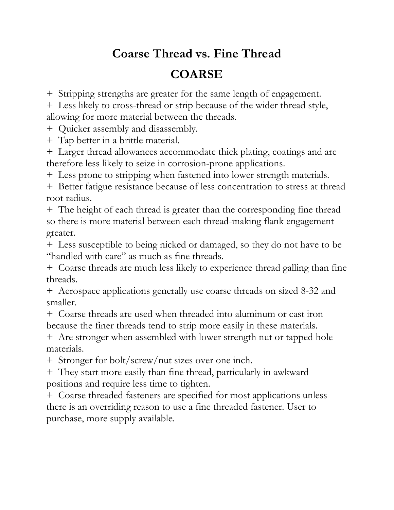## **Coarse Thread vs. Fine Thread**

## **COARSE**

+ Stripping strengths are greater for the same length of engagement.

+ Less likely to cross-thread or strip because of the wider thread style, allowing for more material between the threads.

+ Quicker assembly and disassembly.

+ Tap better in a brittle material.

+ Larger thread allowances accommodate thick plating, coatings and are therefore less likely to seize in corrosion-prone applications.

+ Less prone to stripping when fastened into lower strength materials.

+ Better fatigue resistance because of less concentration to stress at thread root radius.

+ The height of each thread is greater than the corresponding fine thread so there is more material between each thread-making flank engagement greater.

+ Less susceptible to being nicked or damaged, so they do not have to be "handled with care" as much as fine threads.

+ Coarse threads are much less likely to experience thread galling than fine threads.

+ Aerospace applications generally use coarse threads on sized 8-32 and smaller.

+ Coarse threads are used when threaded into aluminum or cast iron because the finer threads tend to strip more easily in these materials.

+ Are stronger when assembled with lower strength nut or tapped hole materials.

+ Stronger for bolt/screw/nut sizes over one inch.

+ They start more easily than fine thread, particularly in awkward positions and require less time to tighten.

+ Coarse threaded fasteners are specified for most applications unless there is an overriding reason to use a fine threaded fastener. User to purchase, more supply available.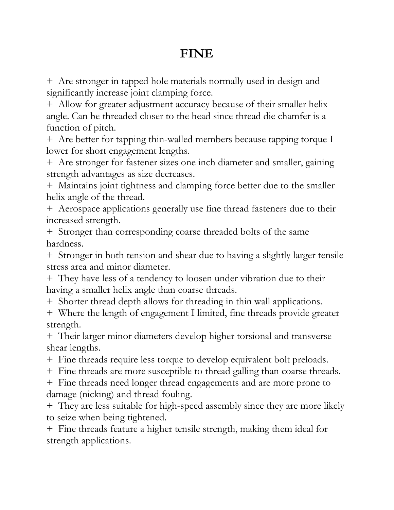## **FINE**

+ Are stronger in tapped hole materials normally used in design and significantly increase joint clamping force.

+ Allow for greater adjustment accuracy because of their smaller helix angle. Can be threaded closer to the head since thread die chamfer is a function of pitch.

+ Are better for tapping thin-walled members because tapping torque I lower for short engagement lengths.

+ Are stronger for fastener sizes one inch diameter and smaller, gaining strength advantages as size decreases.

+ Maintains joint tightness and clamping force better due to the smaller helix angle of the thread.

+ Aerospace applications generally use fine thread fasteners due to their increased strength.

+ Stronger than corresponding coarse threaded bolts of the same hardness.

+ Stronger in both tension and shear due to having a slightly larger tensile stress area and minor diameter.

+ They have less of a tendency to loosen under vibration due to their having a smaller helix angle than coarse threads.

+ Shorter thread depth allows for threading in thin wall applications.

+ Where the length of engagement I limited, fine threads provide greater strength.

+ Their larger minor diameters develop higher torsional and transverse shear lengths.

+ Fine threads require less torque to develop equivalent bolt preloads.

+ Fine threads are more susceptible to thread galling than coarse threads.

+ Fine threads need longer thread engagements and are more prone to damage (nicking) and thread fouling.

+ They are less suitable for high-speed assembly since they are more likely to seize when being tightened.

+ Fine threads feature a higher tensile strength, making them ideal for strength applications.